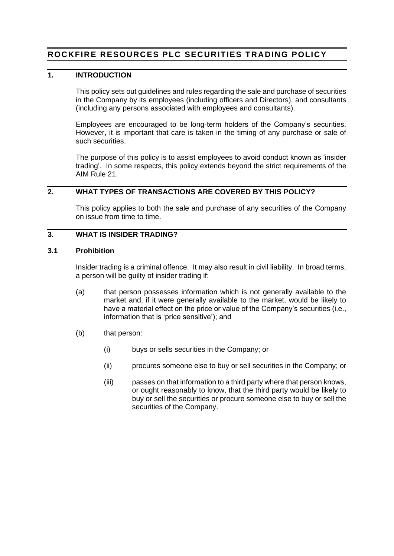# **ROCKFIRE RESOURCES PLC SECURITIES TRADING POLICY**

### **1. INTRODUCTION**

This policy sets out guidelines and rules regarding the sale and purchase of securities in the Company by its employees (including officers and Directors), and consultants (including any persons associated with employees and consultants).

Employees are encouraged to be long-term holders of the Company's securities. However, it is important that care is taken in the timing of any purchase or sale of such securities.

The purpose of this policy is to assist employees to avoid conduct known as 'insider trading'. In some respects, this policy extends beyond the strict requirements of the AIM Rule 21.

# **2. WHAT TYPES OF TRANSACTIONS ARE COVERED BY THIS POLICY?**

This policy applies to both the sale and purchase of any securities of the Company on issue from time to time.

### **3. WHAT IS INSIDER TRADING?**

#### **3.1 Prohibition**

Insider trading is a criminal offence. It may also result in civil liability. In broad terms, a person will be guilty of insider trading if:

- (a) that person possesses information which is not generally available to the market and, if it were generally available to the market, would be likely to have a material effect on the price or value of the Company's securities (i.e., information that is 'price sensitive'); and
- (b) that person:
	- (i) buys or sells securities in the Company; or
	- (ii) procures someone else to buy or sell securities in the Company; or
	- (iii) passes on that information to a third party where that person knows, or ought reasonably to know, that the third party would be likely to buy or sell the securities or procure someone else to buy or sell the securities of the Company.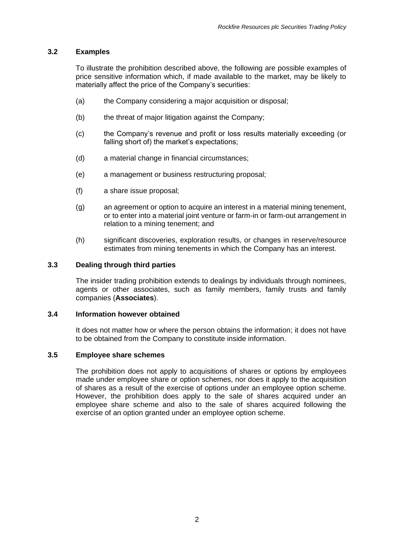### **3.2 Examples**

To illustrate the prohibition described above, the following are possible examples of price sensitive information which, if made available to the market, may be likely to materially affect the price of the Company's securities:

- (a) the Company considering a major acquisition or disposal;
- (b) the threat of major litigation against the Company;
- (c) the Company's revenue and profit or loss results materially exceeding (or falling short of) the market's expectations;
- (d) a material change in financial circumstances;
- (e) a management or business restructuring proposal;
- (f) a share issue proposal;
- (g) an agreement or option to acquire an interest in a material mining tenement, or to enter into a material joint venture or farm-in or farm-out arrangement in relation to a mining tenement; and
- (h) significant discoveries, exploration results, or changes in reserve/resource estimates from mining tenements in which the Company has an interest.

### **3.3 Dealing through third parties**

The insider trading prohibition extends to dealings by individuals through nominees, agents or other associates, such as family members, family trusts and family companies (**Associates**).

#### **3.4 Information however obtained**

It does not matter how or where the person obtains the information; it does not have to be obtained from the Company to constitute inside information.

### **3.5 Employee share schemes**

The prohibition does not apply to acquisitions of shares or options by employees made under employee share or option schemes, nor does it apply to the acquisition of shares as a result of the exercise of options under an employee option scheme. However, the prohibition does apply to the sale of shares acquired under an employee share scheme and also to the sale of shares acquired following the exercise of an option granted under an employee option scheme.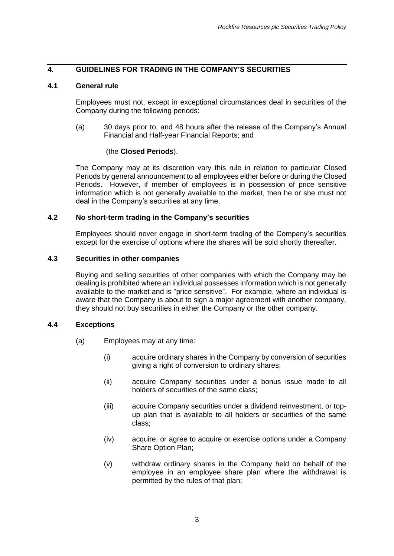# **4. GUIDELINES FOR TRADING IN THE COMPANY'S SECURITIES**

#### <span id="page-2-0"></span>**4.1 General rule**

Employees must not, except in exceptional circumstances deal in securities of the Company during the following periods:

(a) 30 days prior to, and 48 hours after the release of the Company's Annual Financial and Half-year Financial Reports; and

#### (the **Closed Periods**).

The Company may at its discretion vary this rule in relation to particular Closed Periods by general announcement to all employees either before or during the Closed Periods. However, if member of employees is in possession of price sensitive information which is not generally available to the market, then he or she must not deal in the Company's securities at any time.

#### **4.2 No short-term trading in the Company's securities**

Employees should never engage in short-term trading of the Company's securities except for the exercise of options where the shares will be sold shortly thereafter.

### **4.3 Securities in other companies**

Buying and selling securities of other companies with which the Company may be dealing is prohibited where an individual possesses information which is not generally available to the market and is "price sensitive". For example, where an individual is aware that the Company is about to sign a major agreement with another company, they should not buy securities in either the Company or the other company.

### **4.4 Exceptions**

- (a) Employees may at any time:
	- (i) acquire ordinary shares in the Company by conversion of securities giving a right of conversion to ordinary shares;
	- (ii) acquire Company securities under a bonus issue made to all holders of securities of the same class;
	- (iii) acquire Company securities under a dividend reinvestment, or topup plan that is available to all holders or securities of the same class;
	- (iv) acquire, or agree to acquire or exercise options under a Company Share Option Plan;
	- (v) withdraw ordinary shares in the Company held on behalf of the employee in an employee share plan where the withdrawal is permitted by the rules of that plan;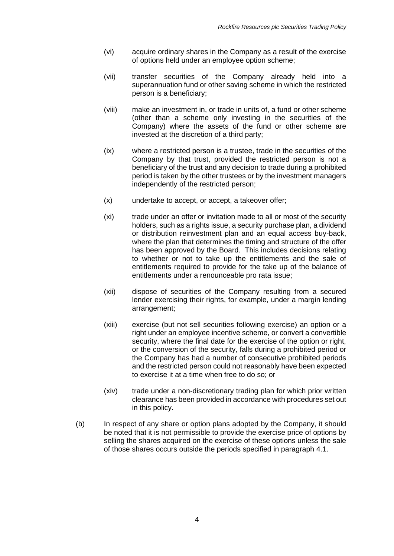- (vi) acquire ordinary shares in the Company as a result of the exercise of options held under an employee option scheme;
- (vii) transfer securities of the Company already held into a superannuation fund or other saving scheme in which the restricted person is a beneficiary;
- (viii) make an investment in, or trade in units of, a fund or other scheme (other than a scheme only investing in the securities of the Company) where the assets of the fund or other scheme are invested at the discretion of a third party;
- (ix) where a restricted person is a trustee, trade in the securities of the Company by that trust, provided the restricted person is not a beneficiary of the trust and any decision to trade during a prohibited period is taken by the other trustees or by the investment managers independently of the restricted person;
- (x) undertake to accept, or accept, a takeover offer;
- (xi) trade under an offer or invitation made to all or most of the security holders, such as a rights issue, a security purchase plan, a dividend or distribution reinvestment plan and an equal access buy-back, where the plan that determines the timing and structure of the offer has been approved by the Board. This includes decisions relating to whether or not to take up the entitlements and the sale of entitlements required to provide for the take up of the balance of entitlements under a renounceable pro rata issue;
- (xii) dispose of securities of the Company resulting from a secured lender exercising their rights, for example, under a margin lending arrangement;
- (xiii) exercise (but not sell securities following exercise) an option or a right under an employee incentive scheme, or convert a convertible security, where the final date for the exercise of the option or right, or the conversion of the security, falls during a prohibited period or the Company has had a number of consecutive prohibited periods and the restricted person could not reasonably have been expected to exercise it at a time when free to do so; or
- (xiv) trade under a non-discretionary trading plan for which prior written clearance has been provided in accordance with procedures set out in this policy.
- (b) In respect of any share or option plans adopted by the Company, it should be noted that it is not permissible to provide the exercise price of options by selling the shares acquired on the exercise of these options unless the sale of those shares occurs outside the periods specified in paragraph [4.1.](#page-2-0)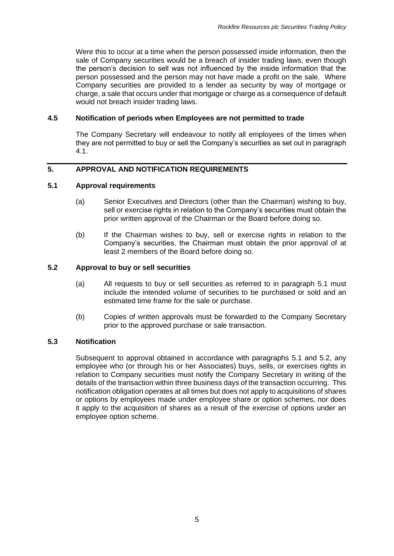Were this to occur at a time when the person possessed inside information, then the sale of Company securities would be a breach of insider trading laws, even though the person's decision to sell was not influenced by the inside information that the person possessed and the person may not have made a profit on the sale. Where Company securities are provided to a lender as security by way of mortgage or charge, a sale that occurs under that mortgage or charge as a consequence of default would not breach insider trading laws.

### **4.5 Notification of periods when Employees are not permitted to trade**

The Company Secretary will endeavour to notify all employees of the times when they are not permitted to buy or sell the Company's securities as set out in paragraph [4.1.](#page-2-0)

### **5. APPROVAL AND NOTIFICATION REQUIREMENTS**

### <span id="page-4-0"></span>**5.1 Approval requirements**

- (a) Senior Executives and Directors (other than the Chairman) wishing to buy, sell or exercise rights in relation to the Company's securities must obtain the prior written approval of the Chairman or the Board before doing so.
- (b) If the Chairman wishes to buy, sell or exercise rights in relation to the Company's securities, the Chairman must obtain the prior approval of at least 2 members of the Board before doing so.

#### <span id="page-4-1"></span>**5.2 Approval to buy or sell securities**

- (a) All requests to buy or sell securities as referred to in paragraph [5.1](#page-4-0) must include the intended volume of securities to be purchased or sold and an estimated time frame for the sale or purchase.
- (b) Copies of written approvals must be forwarded to the Company Secretary prior to the approved purchase or sale transaction.

#### **5.3 Notification**

Subsequent to approval obtained in accordance with paragraphs [5.1](#page-4-0) and [5.2,](#page-4-1) any employee who (or through his or her Associates) buys, sells, or exercises rights in relation to Company securities must notify the Company Secretary in writing of the details of the transaction within three business days of the transaction occurring. This notification obligation operates at all times but does not apply to acquisitions of shares or options by employees made under employee share or option schemes, nor does it apply to the acquisition of shares as a result of the exercise of options under an employee option scheme.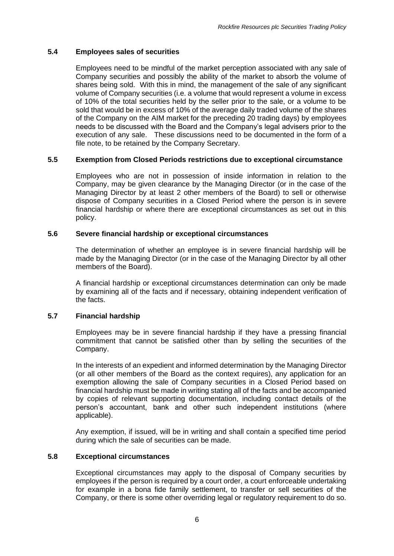# **5.4 Employees sales of securities**

Employees need to be mindful of the market perception associated with any sale of Company securities and possibly the ability of the market to absorb the volume of shares being sold. With this in mind, the management of the sale of any significant volume of Company securities (i.e. a volume that would represent a volume in excess of 10% of the total securities held by the seller prior to the sale, or a volume to be sold that would be in excess of 10% of the average daily traded volume of the shares of the Company on the AIM market for the preceding 20 trading days) by employees needs to be discussed with the Board and the Company's legal advisers prior to the execution of any sale. These discussions need to be documented in the form of a file note, to be retained by the Company Secretary.

# **5.5 Exemption from Closed Periods restrictions due to exceptional circumstance**

Employees who are not in possession of inside information in relation to the Company, may be given clearance by the Managing Director (or in the case of the Managing Director by at least 2 other members of the Board) to sell or otherwise dispose of Company securities in a Closed Period where the person is in severe financial hardship or where there are exceptional circumstances as set out in this policy.

### **5.6 Severe financial hardship or exceptional circumstances**

The determination of whether an employee is in severe financial hardship will be made by the Managing Director (or in the case of the Managing Director by all other members of the Board).

A financial hardship or exceptional circumstances determination can only be made by examining all of the facts and if necessary, obtaining independent verification of the facts.

### **5.7 Financial hardship**

Employees may be in severe financial hardship if they have a pressing financial commitment that cannot be satisfied other than by selling the securities of the Company.

In the interests of an expedient and informed determination by the Managing Director (or all other members of the Board as the context requires), any application for an exemption allowing the sale of Company securities in a Closed Period based on financial hardship must be made in writing stating all of the facts and be accompanied by copies of relevant supporting documentation, including contact details of the person's accountant, bank and other such independent institutions (where applicable).

Any exemption, if issued, will be in writing and shall contain a specified time period during which the sale of securities can be made.

### **5.8 Exceptional circumstances**

Exceptional circumstances may apply to the disposal of Company securities by employees if the person is required by a court order, a court enforceable undertaking for example in a bona fide family settlement, to transfer or sell securities of the Company, or there is some other overriding legal or regulatory requirement to do so.